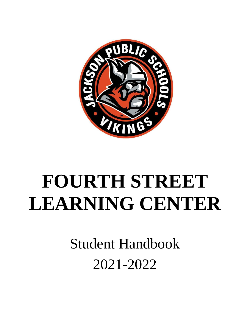

# **FOURTH STREET LEARNING CENTER**

Student Handbook 2021-2022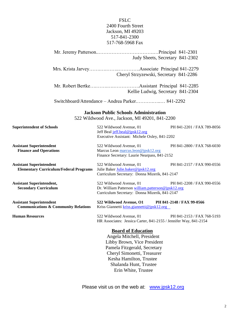## FSLC 2400 Fourth Street Jackson, MI 49203 517-841-2300 517-768-5968 Fax

|                                                                                    | Judy Sheets, Secretary 841-2302                                                                     |                            |  |
|------------------------------------------------------------------------------------|-----------------------------------------------------------------------------------------------------|----------------------------|--|
|                                                                                    |                                                                                                     |                            |  |
|                                                                                    |                                                                                                     |                            |  |
|                                                                                    | Cheryl Strzyzewski, Secretary 841-2286                                                              |                            |  |
|                                                                                    |                                                                                                     |                            |  |
|                                                                                    | Kellie Ludwig, Secretary 841-2304                                                                   |                            |  |
|                                                                                    |                                                                                                     |                            |  |
|                                                                                    | Switchboard/Attendance - Andrea Parker 841-2292                                                     |                            |  |
|                                                                                    | <b>Jackson Public Schools Administration</b>                                                        |                            |  |
|                                                                                    | 522 Wildwood Ave., Jackson, MI 49201, 841-2200                                                      |                            |  |
| <b>Superintendent of Schools</b>                                                   | 522 Wildwood Avenue, 01                                                                             | PH 841-2201 / FAX 789-8056 |  |
|                                                                                    | Jeff Beal jeff.beal@jpsk12.org                                                                      |                            |  |
|                                                                                    | Executive Assistant: Michele Oxley, 841-2202                                                        |                            |  |
| <b>Assistant Superintendent</b>                                                    | 522 Wildwood Avenue, 01                                                                             | PH 841-2800 / FAX 768-6030 |  |
| <b>Finance and Operations</b>                                                      | Marcus Leon marcus.leon@jpsk12.org                                                                  |                            |  |
|                                                                                    | Finance Secretary: Laurie Nearpass, 841-2152                                                        |                            |  |
| <b>Assistant Superintendent</b>                                                    | 522 Wildwood Avenue, 01                                                                             | PH 841-2157 / FAX 990-0556 |  |
| <b>Elementary Curriculum/Federal Programs</b>                                      | Julie Baker Julie.baker@jpsk12.org                                                                  |                            |  |
|                                                                                    | Curriculum Secretary: Donna Mizerik, 841-2147                                                       |                            |  |
| <b>Assistant Superintendent,</b>                                                   | 522 Wildwood Avenue, 01                                                                             | PH 841-2208 / FAX 990-0556 |  |
| <b>Secondary Curriculum</b>                                                        | Dr. William Patterson william.patterson@jpsk12.org<br>Curriculum Secretary: Donna Mizerik, 841-2147 |                            |  |
|                                                                                    |                                                                                                     |                            |  |
| <b>Assistant Superintendent</b><br><b>Communications &amp; Community Relations</b> | 522 Wildwood Avenue, O1 PH 841-2148 / FAX 99-0566<br>Kriss Giannetti kriss.giannetti@jpsk12.org     |                            |  |
| <b>Human Resources</b>                                                             | 522 Wildwood Avenue, 01                                                                             | PH 841-2153 / FAX 768-5193 |  |
|                                                                                    | HR Associates: Jessica Carter, 841-2155 / Jennifer Way, 841-2154                                    |                            |  |
|                                                                                    | <b>Board of Education</b>                                                                           |                            |  |
|                                                                                    | Angela Mitchell, President                                                                          |                            |  |
|                                                                                    | Libby Brown, Vice President                                                                         |                            |  |
|                                                                                    | Pamela Fitzgerald, Secretary                                                                        |                            |  |
|                                                                                    | Cheryl Simonetti, Treasurer                                                                         |                            |  |
|                                                                                    | Kesha Hamilton, Trustee                                                                             |                            |  |

Please visit us on the web at: [www.jpsk12.org](http://www.jpsk12.org/)

 Shalanda Hunt, Trustee Erin White, Trustee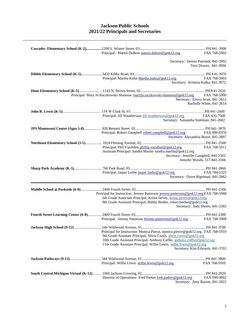## **Jackson Public Schools 2021/22 Principals and Secretaries**

| Principal: Martin DuBois martin.dubois@jpsk12.org<br>FAX 768-5902<br>Secretary: Denise Patronik, 841-3902<br>Terri Downs, 841-3904<br>Principal: Martha Kuhn Martha.kuhn@jpsk12.org<br>FAX 768-5903<br>Secretary: Kristina Kulka, 841-3972<br>Principal: Mary Jo Raczkowski-Shannon maryjo.raczkowski-shannon@jpsk12.org FAX 768-5900<br>Secretary: Ericca Scott, 841-2612<br>Rachelle White, 841-2614<br>Principal: Jill Weatherwax jill.weatherwax@jpsk12.org<br>FAX 435-7508<br>Secretary: Samantha Steelman, 841-2602<br>Principal: Robert Campbell robert.campbell@jpsk12.org FAX 990-0370<br>Secretary: Alexandria Boyer, 841-3897<br>Principal: Phil VanAllen phillip.vanallen@jpsk12.org<br>FAX 768-5911<br>Assistant Principal: Sandra Martin sandra.martin@jpsk12.org<br>Secretary: Jennifer Campbell, 841-2502<br>Jennifer Woods, 517-841-2504<br>FAX 784-1325<br>Principal: Jasper Lusby jasper.lusby@jpsk12.org<br>Secretary: Dawn Rigelman, 841-2862<br>Principal for Instruction: Jeremy Patterson jeremy.patterson@jpsk12.org FAX 768-5968<br>6th Grade Associate Principal, Krista Jarvey, krista.jarvey@jpsk12.org<br>8th Grade Assistant Principal, Bobby Bertke, robert.bertke@jpsk12.org<br>Secretary: Judy Sheets, 841-2302<br>Principal: Jeremy Patterson Jeremy.patterson@jpsk12.org<br>FAX 768-5968<br>Principal for Instruction: Monica Pierce, monica.pierce@jpsk12.org FAX 768-5910<br>9th Grade Assistant Principal, Alicia Curtis, alicia.curtis@jpsk12.org<br>10th Grade Assistant Principal, Anthony Coffie, anthony.coffie@jpsk12.org<br>11th Grade Assistant Principal, Willie Lewis, willie.lewis@jpsk12.org<br>Secretary: Kim Edwards, 841-3702<br>Principal: Willie Lewis willie.lewis@jpsk12.org<br>FAX 768-5910<br>Director of Operations: Fred Parker fred.parker@jpsk12.org<br>FAX 990-0002 |  |  |
|--------------------------------------------------------------------------------------------------------------------------------------------------------------------------------------------------------------------------------------------------------------------------------------------------------------------------------------------------------------------------------------------------------------------------------------------------------------------------------------------------------------------------------------------------------------------------------------------------------------------------------------------------------------------------------------------------------------------------------------------------------------------------------------------------------------------------------------------------------------------------------------------------------------------------------------------------------------------------------------------------------------------------------------------------------------------------------------------------------------------------------------------------------------------------------------------------------------------------------------------------------------------------------------------------------------------------------------------------------------------------------------------------------------------------------------------------------------------------------------------------------------------------------------------------------------------------------------------------------------------------------------------------------------------------------------------------------------------------------------------------------------------------------------------------------------------------------------|--|--|
|                                                                                                                                                                                                                                                                                                                                                                                                                                                                                                                                                                                                                                                                                                                                                                                                                                                                                                                                                                                                                                                                                                                                                                                                                                                                                                                                                                                                                                                                                                                                                                                                                                                                                                                                                                                                                                      |  |  |
|                                                                                                                                                                                                                                                                                                                                                                                                                                                                                                                                                                                                                                                                                                                                                                                                                                                                                                                                                                                                                                                                                                                                                                                                                                                                                                                                                                                                                                                                                                                                                                                                                                                                                                                                                                                                                                      |  |  |
|                                                                                                                                                                                                                                                                                                                                                                                                                                                                                                                                                                                                                                                                                                                                                                                                                                                                                                                                                                                                                                                                                                                                                                                                                                                                                                                                                                                                                                                                                                                                                                                                                                                                                                                                                                                                                                      |  |  |
|                                                                                                                                                                                                                                                                                                                                                                                                                                                                                                                                                                                                                                                                                                                                                                                                                                                                                                                                                                                                                                                                                                                                                                                                                                                                                                                                                                                                                                                                                                                                                                                                                                                                                                                                                                                                                                      |  |  |
|                                                                                                                                                                                                                                                                                                                                                                                                                                                                                                                                                                                                                                                                                                                                                                                                                                                                                                                                                                                                                                                                                                                                                                                                                                                                                                                                                                                                                                                                                                                                                                                                                                                                                                                                                                                                                                      |  |  |
|                                                                                                                                                                                                                                                                                                                                                                                                                                                                                                                                                                                                                                                                                                                                                                                                                                                                                                                                                                                                                                                                                                                                                                                                                                                                                                                                                                                                                                                                                                                                                                                                                                                                                                                                                                                                                                      |  |  |
|                                                                                                                                                                                                                                                                                                                                                                                                                                                                                                                                                                                                                                                                                                                                                                                                                                                                                                                                                                                                                                                                                                                                                                                                                                                                                                                                                                                                                                                                                                                                                                                                                                                                                                                                                                                                                                      |  |  |
|                                                                                                                                                                                                                                                                                                                                                                                                                                                                                                                                                                                                                                                                                                                                                                                                                                                                                                                                                                                                                                                                                                                                                                                                                                                                                                                                                                                                                                                                                                                                                                                                                                                                                                                                                                                                                                      |  |  |
|                                                                                                                                                                                                                                                                                                                                                                                                                                                                                                                                                                                                                                                                                                                                                                                                                                                                                                                                                                                                                                                                                                                                                                                                                                                                                                                                                                                                                                                                                                                                                                                                                                                                                                                                                                                                                                      |  |  |
|                                                                                                                                                                                                                                                                                                                                                                                                                                                                                                                                                                                                                                                                                                                                                                                                                                                                                                                                                                                                                                                                                                                                                                                                                                                                                                                                                                                                                                                                                                                                                                                                                                                                                                                                                                                                                                      |  |  |
|                                                                                                                                                                                                                                                                                                                                                                                                                                                                                                                                                                                                                                                                                                                                                                                                                                                                                                                                                                                                                                                                                                                                                                                                                                                                                                                                                                                                                                                                                                                                                                                                                                                                                                                                                                                                                                      |  |  |
|                                                                                                                                                                                                                                                                                                                                                                                                                                                                                                                                                                                                                                                                                                                                                                                                                                                                                                                                                                                                                                                                                                                                                                                                                                                                                                                                                                                                                                                                                                                                                                                                                                                                                                                                                                                                                                      |  |  |
|                                                                                                                                                                                                                                                                                                                                                                                                                                                                                                                                                                                                                                                                                                                                                                                                                                                                                                                                                                                                                                                                                                                                                                                                                                                                                                                                                                                                                                                                                                                                                                                                                                                                                                                                                                                                                                      |  |  |
|                                                                                                                                                                                                                                                                                                                                                                                                                                                                                                                                                                                                                                                                                                                                                                                                                                                                                                                                                                                                                                                                                                                                                                                                                                                                                                                                                                                                                                                                                                                                                                                                                                                                                                                                                                                                                                      |  |  |
|                                                                                                                                                                                                                                                                                                                                                                                                                                                                                                                                                                                                                                                                                                                                                                                                                                                                                                                                                                                                                                                                                                                                                                                                                                                                                                                                                                                                                                                                                                                                                                                                                                                                                                                                                                                                                                      |  |  |
|                                                                                                                                                                                                                                                                                                                                                                                                                                                                                                                                                                                                                                                                                                                                                                                                                                                                                                                                                                                                                                                                                                                                                                                                                                                                                                                                                                                                                                                                                                                                                                                                                                                                                                                                                                                                                                      |  |  |
|                                                                                                                                                                                                                                                                                                                                                                                                                                                                                                                                                                                                                                                                                                                                                                                                                                                                                                                                                                                                                                                                                                                                                                                                                                                                                                                                                                                                                                                                                                                                                                                                                                                                                                                                                                                                                                      |  |  |
|                                                                                                                                                                                                                                                                                                                                                                                                                                                                                                                                                                                                                                                                                                                                                                                                                                                                                                                                                                                                                                                                                                                                                                                                                                                                                                                                                                                                                                                                                                                                                                                                                                                                                                                                                                                                                                      |  |  |
|                                                                                                                                                                                                                                                                                                                                                                                                                                                                                                                                                                                                                                                                                                                                                                                                                                                                                                                                                                                                                                                                                                                                                                                                                                                                                                                                                                                                                                                                                                                                                                                                                                                                                                                                                                                                                                      |  |  |
|                                                                                                                                                                                                                                                                                                                                                                                                                                                                                                                                                                                                                                                                                                                                                                                                                                                                                                                                                                                                                                                                                                                                                                                                                                                                                                                                                                                                                                                                                                                                                                                                                                                                                                                                                                                                                                      |  |  |
|                                                                                                                                                                                                                                                                                                                                                                                                                                                                                                                                                                                                                                                                                                                                                                                                                                                                                                                                                                                                                                                                                                                                                                                                                                                                                                                                                                                                                                                                                                                                                                                                                                                                                                                                                                                                                                      |  |  |
|                                                                                                                                                                                                                                                                                                                                                                                                                                                                                                                                                                                                                                                                                                                                                                                                                                                                                                                                                                                                                                                                                                                                                                                                                                                                                                                                                                                                                                                                                                                                                                                                                                                                                                                                                                                                                                      |  |  |
|                                                                                                                                                                                                                                                                                                                                                                                                                                                                                                                                                                                                                                                                                                                                                                                                                                                                                                                                                                                                                                                                                                                                                                                                                                                                                                                                                                                                                                                                                                                                                                                                                                                                                                                                                                                                                                      |  |  |
|                                                                                                                                                                                                                                                                                                                                                                                                                                                                                                                                                                                                                                                                                                                                                                                                                                                                                                                                                                                                                                                                                                                                                                                                                                                                                                                                                                                                                                                                                                                                                                                                                                                                                                                                                                                                                                      |  |  |
|                                                                                                                                                                                                                                                                                                                                                                                                                                                                                                                                                                                                                                                                                                                                                                                                                                                                                                                                                                                                                                                                                                                                                                                                                                                                                                                                                                                                                                                                                                                                                                                                                                                                                                                                                                                                                                      |  |  |
|                                                                                                                                                                                                                                                                                                                                                                                                                                                                                                                                                                                                                                                                                                                                                                                                                                                                                                                                                                                                                                                                                                                                                                                                                                                                                                                                                                                                                                                                                                                                                                                                                                                                                                                                                                                                                                      |  |  |
|                                                                                                                                                                                                                                                                                                                                                                                                                                                                                                                                                                                                                                                                                                                                                                                                                                                                                                                                                                                                                                                                                                                                                                                                                                                                                                                                                                                                                                                                                                                                                                                                                                                                                                                                                                                                                                      |  |  |
|                                                                                                                                                                                                                                                                                                                                                                                                                                                                                                                                                                                                                                                                                                                                                                                                                                                                                                                                                                                                                                                                                                                                                                                                                                                                                                                                                                                                                                                                                                                                                                                                                                                                                                                                                                                                                                      |  |  |
|                                                                                                                                                                                                                                                                                                                                                                                                                                                                                                                                                                                                                                                                                                                                                                                                                                                                                                                                                                                                                                                                                                                                                                                                                                                                                                                                                                                                                                                                                                                                                                                                                                                                                                                                                                                                                                      |  |  |
|                                                                                                                                                                                                                                                                                                                                                                                                                                                                                                                                                                                                                                                                                                                                                                                                                                                                                                                                                                                                                                                                                                                                                                                                                                                                                                                                                                                                                                                                                                                                                                                                                                                                                                                                                                                                                                      |  |  |
|                                                                                                                                                                                                                                                                                                                                                                                                                                                                                                                                                                                                                                                                                                                                                                                                                                                                                                                                                                                                                                                                                                                                                                                                                                                                                                                                                                                                                                                                                                                                                                                                                                                                                                                                                                                                                                      |  |  |
|                                                                                                                                                                                                                                                                                                                                                                                                                                                                                                                                                                                                                                                                                                                                                                                                                                                                                                                                                                                                                                                                                                                                                                                                                                                                                                                                                                                                                                                                                                                                                                                                                                                                                                                                                                                                                                      |  |  |
|                                                                                                                                                                                                                                                                                                                                                                                                                                                                                                                                                                                                                                                                                                                                                                                                                                                                                                                                                                                                                                                                                                                                                                                                                                                                                                                                                                                                                                                                                                                                                                                                                                                                                                                                                                                                                                      |  |  |
|                                                                                                                                                                                                                                                                                                                                                                                                                                                                                                                                                                                                                                                                                                                                                                                                                                                                                                                                                                                                                                                                                                                                                                                                                                                                                                                                                                                                                                                                                                                                                                                                                                                                                                                                                                                                                                      |  |  |
|                                                                                                                                                                                                                                                                                                                                                                                                                                                                                                                                                                                                                                                                                                                                                                                                                                                                                                                                                                                                                                                                                                                                                                                                                                                                                                                                                                                                                                                                                                                                                                                                                                                                                                                                                                                                                                      |  |  |
|                                                                                                                                                                                                                                                                                                                                                                                                                                                                                                                                                                                                                                                                                                                                                                                                                                                                                                                                                                                                                                                                                                                                                                                                                                                                                                                                                                                                                                                                                                                                                                                                                                                                                                                                                                                                                                      |  |  |
|                                                                                                                                                                                                                                                                                                                                                                                                                                                                                                                                                                                                                                                                                                                                                                                                                                                                                                                                                                                                                                                                                                                                                                                                                                                                                                                                                                                                                                                                                                                                                                                                                                                                                                                                                                                                                                      |  |  |
|                                                                                                                                                                                                                                                                                                                                                                                                                                                                                                                                                                                                                                                                                                                                                                                                                                                                                                                                                                                                                                                                                                                                                                                                                                                                                                                                                                                                                                                                                                                                                                                                                                                                                                                                                                                                                                      |  |  |
|                                                                                                                                                                                                                                                                                                                                                                                                                                                                                                                                                                                                                                                                                                                                                                                                                                                                                                                                                                                                                                                                                                                                                                                                                                                                                                                                                                                                                                                                                                                                                                                                                                                                                                                                                                                                                                      |  |  |
|                                                                                                                                                                                                                                                                                                                                                                                                                                                                                                                                                                                                                                                                                                                                                                                                                                                                                                                                                                                                                                                                                                                                                                                                                                                                                                                                                                                                                                                                                                                                                                                                                                                                                                                                                                                                                                      |  |  |
|                                                                                                                                                                                                                                                                                                                                                                                                                                                                                                                                                                                                                                                                                                                                                                                                                                                                                                                                                                                                                                                                                                                                                                                                                                                                                                                                                                                                                                                                                                                                                                                                                                                                                                                                                                                                                                      |  |  |
|                                                                                                                                                                                                                                                                                                                                                                                                                                                                                                                                                                                                                                                                                                                                                                                                                                                                                                                                                                                                                                                                                                                                                                                                                                                                                                                                                                                                                                                                                                                                                                                                                                                                                                                                                                                                                                      |  |  |
|                                                                                                                                                                                                                                                                                                                                                                                                                                                                                                                                                                                                                                                                                                                                                                                                                                                                                                                                                                                                                                                                                                                                                                                                                                                                                                                                                                                                                                                                                                                                                                                                                                                                                                                                                                                                                                      |  |  |
|                                                                                                                                                                                                                                                                                                                                                                                                                                                                                                                                                                                                                                                                                                                                                                                                                                                                                                                                                                                                                                                                                                                                                                                                                                                                                                                                                                                                                                                                                                                                                                                                                                                                                                                                                                                                                                      |  |  |
|                                                                                                                                                                                                                                                                                                                                                                                                                                                                                                                                                                                                                                                                                                                                                                                                                                                                                                                                                                                                                                                                                                                                                                                                                                                                                                                                                                                                                                                                                                                                                                                                                                                                                                                                                                                                                                      |  |  |
|                                                                                                                                                                                                                                                                                                                                                                                                                                                                                                                                                                                                                                                                                                                                                                                                                                                                                                                                                                                                                                                                                                                                                                                                                                                                                                                                                                                                                                                                                                                                                                                                                                                                                                                                                                                                                                      |  |  |
|                                                                                                                                                                                                                                                                                                                                                                                                                                                                                                                                                                                                                                                                                                                                                                                                                                                                                                                                                                                                                                                                                                                                                                                                                                                                                                                                                                                                                                                                                                                                                                                                                                                                                                                                                                                                                                      |  |  |
|                                                                                                                                                                                                                                                                                                                                                                                                                                                                                                                                                                                                                                                                                                                                                                                                                                                                                                                                                                                                                                                                                                                                                                                                                                                                                                                                                                                                                                                                                                                                                                                                                                                                                                                                                                                                                                      |  |  |
| Secretary: Amy Barton, 841-2822                                                                                                                                                                                                                                                                                                                                                                                                                                                                                                                                                                                                                                                                                                                                                                                                                                                                                                                                                                                                                                                                                                                                                                                                                                                                                                                                                                                                                                                                                                                                                                                                                                                                                                                                                                                                      |  |  |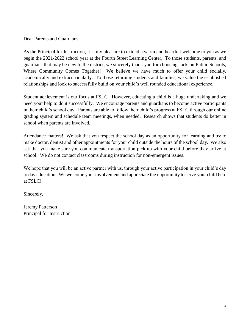Dear Parents and Guardians:

As the Principal for Instruction, it is my pleasure to extend a warm and heartfelt welcome to you as we begin the 2021-2022 school year at the Fourth Street Learning Center. To those students, parents, and guardians that may be new to the district, we sincerely thank you for choosing Jackson Public Schools, Where Community Comes Together! We believe we have much to offer your child socially, academically and extracurricularly. To those returning students and families, we value the established relationships and look to successfully build on your child's well rounded educational experience.

Student achievement is our focus at FSLC. However, educating a child is a huge undertaking and we need your help to do it successfully. We encourage parents and guardians to become active participants in their child's school day. Parents are able to follow their child's progress at FSLC through our online grading system and schedule team meetings, when needed. Research shows that students do better in school when parents are involved.

Attendance matters! We ask that you respect the school day as an opportunity for learning and try to make doctor, dentist and other appointments for your child outside the hours of the school day. We also ask that you make sure you communicate transportation pick up with your child before they arrive at school. We do not contact classrooms during instruction for non-emergent issues.

We hope that you will be an active partner with us, through your active participation in your child's day to day education. We welcome your involvement and appreciate the opportunity to serve your child here at FSLC!

Sincerely,

Jeremy Patterson Principal for Instruction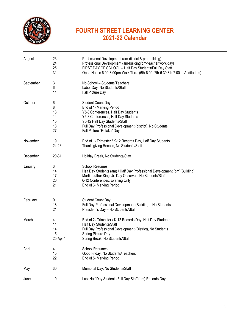

# **FOURTH STREET LEARNING CENTER 2021-22 Calendar**

| August    | 23<br>24<br>25<br>31                 | Professional Development (am-district & pm-building)<br>Professional Development (am-building/pm-teacher work day)<br>FIRST DAY OF SCHOOL - Half Day Students/Full Day Staff<br>Open House 6:00-8:00pm-Walk Thru (6th-6:00, 7th-6:30,8th-7:00 in Auditorium)               |
|-----------|--------------------------------------|----------------------------------------------------------------------------------------------------------------------------------------------------------------------------------------------------------------------------------------------------------------------------|
| September | 3<br>6<br>14                         | No School - Students/Teachers<br>Labor Day, No Students/Staff<br>Fall Picture Day                                                                                                                                                                                          |
| October   | 6<br>8<br>13<br>14<br>15<br>18<br>27 | <b>Student Count Day</b><br>End of 1 <sup>st</sup> Marking Period<br>Y5-8 Conferences, Half Day Students<br>Y5-8 Conferences, Half Day Students<br>Y5-12 Half Day Students/Staff<br>Full Day Professional Development (district), No Students<br>Fall Picture "Retake" Day |
| November  | 19<br>24-26                          | End of 1 <sup>*</sup> Trimester / K-12 Records Day, Half Day Students<br>Thanksgiving Recess, No Students/Staff                                                                                                                                                            |
| December  | 20-31                                | Holiday Break, No Students/Staff                                                                                                                                                                                                                                           |
| January   | 3<br>14<br>17<br>20<br>21            | <b>School Resumes</b><br>Half Day Students (am) / Half Day Professional Development (pm)(Building)<br>Martin Luther King, Jr. Day Observed, No Students/Staff<br>6-12 Conferences, Evening Only<br>End of 3 <sup><i>d</i></sup> Marking Period                             |
| February  | 9<br>18<br>21                        | <b>Student Count Day</b><br>Full Day Professional Development (Building), No Students<br>President's Day - No Students/Staff                                                                                                                                               |
| March     | 4<br>11<br>14<br>15<br>25-Apr 1      | End of 2 <sup>nd</sup> Trimester / K-12 Records Day, Half Day Students<br>Half Day Students/Staff<br>Full Day Professional Development (District), No Students<br>Spring Picture Day<br>Spring Break, No Students/Staff                                                    |
| April     | 4<br>15<br>22                        | <b>School Resumes</b><br>Good Friday, No Students/Teachers<br>End of 5 <sup>th</sup> Marking Period                                                                                                                                                                        |
| May       | 30                                   | Memorial Day, No Students/Staff                                                                                                                                                                                                                                            |
| June      | 10                                   | Last Half Day Students/Full Day Staff (pm) Records Day                                                                                                                                                                                                                     |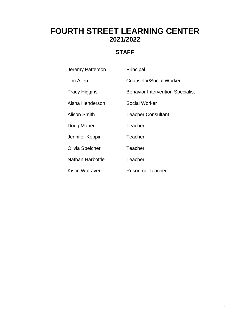# **FOURTH STREET LEARNING CENTER 2021/2022**

# **STAFF**

| Jeremy Patterson        | Principal                               |
|-------------------------|-----------------------------------------|
| <b>Tim Allen</b>        | Counselor/Social Worker                 |
| <b>Tracy Higgins</b>    | <b>Behavior Intervention Specialist</b> |
| Aisha Henderson         | Social Worker                           |
| <b>Alison Smith</b>     | <b>Teacher Consultant</b>               |
| Doug Maher              | Teacher                                 |
| Jennifer Koppin         | Teacher                                 |
| Olivia Speicher         | Teacher                                 |
| <b>Nathan Harbottle</b> | Teacher                                 |
| Kistin Walraven         | Resource Teacher                        |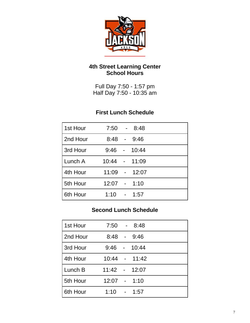

# **4th Street Learning Center School Hours**

Full Day 7:50 - 1:57 pm Half Day 7:50 - 10:35 am

# **First Lunch Schedule**

| 1st Hour |                |                 | $7:50 - 8:48$ |
|----------|----------------|-----------------|---------------|
| 2nd Hour |                |                 | $8:48 - 9:46$ |
| 3rd Hour | $9:46 -$       |                 | 10:44         |
| Lunch A  | 10:44 - 11:09  |                 |               |
| 4th Hour | 11:09 -        |                 | 12:07         |
| 5th Hour | $12:07 - 1:10$ |                 |               |
| 6th Hour | $1:10^{-}$     | $\sim 10^{-10}$ | 1:57          |

# **Second Lunch Schedule**

| 1st Hour |                | $7:50 - 8:48$ |
|----------|----------------|---------------|
| 2nd Hour | $8:48 -$       | 9:46          |
| 3rd Hour | $9:46 -$       | 10:44         |
| 4th Hour |                | 10:44 - 11:42 |
| Lunch B  | 11:42 - 12:07  |               |
| 5th Hour | $12:07 - 1:10$ |               |
| 6th Hour | $1:10 -$       | 1:57          |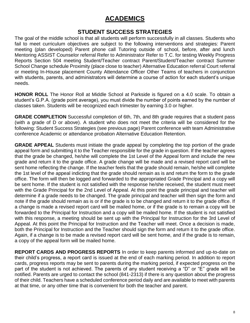# **ACADEMICS**

# **STUDENT SUCCESS STRATEGIES**

The goal of the middle school is that all students will perform successfully in all classes. Students who fail to meet curriculum objectives are subject to the following interventions and strategies: Parent meeting (plan developed) Parent phone call Tutoring outside of school, before, after and lunch Mentoring ASSIST Counselor referral Refer to Administrator Refer to T.C. for testing Weekly Progress Reports Section 504 meeting Student/Teacher contract Parent/Student/Teacher contract Summer School Change schedule Proximity (place close to teacher) Alternative Education referral Court referral or meeting In-House placement County Attendance Officer Other Teams of teachers in conjunction with students, parents, and administrators will determine a course of action for each student's unique needs.

**HONOR ROLL** The Honor Roll at Middle School at Parkside is figured on a 4.0 scale. To obtain a student's G.P.A. (grade point average), you must divide the number of points earned by the number of classes taken. Students will be recognized each trimester by earning 3.0 or higher.

**GRADE COMPLETION** Successful completion of 6th, 7th, and 8th grade requires that a student pass (with a grade of D or above). A student who does not meet the criteria will be considered for the following: Student Success Strategies (see previous page) Parent conference with team Administrative conference Academic or attendance probation Alternative Education Retention.

**GRADE APPEAL** Students must initiate the grade appeal by completing the top portion of the grade appeal form and submitting it to the Teacher responsible for the grade in question. If the teacher agrees that the grade be changed, he/she will complete the 1st Level of the Appeal form and include the new grade and return it to the grade office. A grade change will be made and a revised report card will be sent home reflecting the change. If the teacher feels that the grade should remain, he/she will complete the 1st level of the appeal indicting that the grade should remain as is and return the form to the grade office. The form will then be logged and forwarded to the appropriated Grade Principal and a copy will be sent home. If the student is not satisfied with the response he/she received, the student must meet with the Grade Principal for the 2nd Level of Appeal. At this point the grade principal and teacher will determine if a grade needs to be changed. The grade principal and teacher will then sign the form and note if the grade should remain as is or if the grade is to be changed and return it to the grade office. If a change is made a revised report card will be mailed home, or if the grade is to remain a copy will be forwarded to the Principal for Instruction and a copy will be mailed home. If the student is not satisfied with this response, a meeting should be sent up with the Principal for Instruction for the 3rd Level of Appeal. At this point the Principal for Instruction and the Teacher will meet. Once a decision is made, both the Principal for Instruction and the Teacher should sign the form and return it to the grade office. Again, if a change is to be made a revised report card will be sent home, and if the grade is to remain, a copy of the appeal form will be mailed home.

**REPORT CARDS AND PROGRESS REPORTS** In order to keep parents informed and up-to-date on their child's progress, a report card is issued at the end of each marking period. In addition to report cards, progress reports may be sent to parents during the marking period, if expected progress on the part of the student is not achieved. The parents of any student receiving a "D" or "E" grade will be notified. Parents are urged to contact the school (841-2313) if there is any question about the progress of their child. Teachers have a scheduled conference period daily and are available to meet with parents at that time, or any other time that is convenient for both the teacher and parent.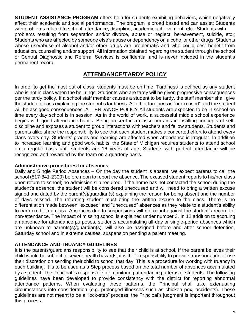**STUDENT ASSISTANCE PROGRAM** offers help for students exhibiting behaviors, which negatively affect their academic and social performance. The program is broad based and can assist: Students with problems related to school attendance, discipline, academic achievement, etc.; Students with problems resulting from separation and/or divorce, abuse or neglect, bereavement, suicide, etc.; Students who are affected by someone else's abuse or dependency on alcohol or other drugs; Students whose use/abuse of alcohol and/or other drugs are problematic and who could best benefit from education, counseling and/or support. All information obtained regarding the student through the school or Central Diagnostic and Referral Services is confidential and is never included in the student's permanent record.

# **ATTENDANCE/TARDY POLICY**

In order to get the most out of class, students must be on time. Tardiness is defined as any student who is not in class when the bell rings. Students who are tardy will be given progressive consequences per the tardy policy. If a school staff member causes a student to be tardy, the staff member shall give the student a pass explaining the student's tardiness. All other tardiness is "unexcused" and the student will be assigned consequences. ATTENDANCE POLICY All students are expected to be in school on time every day school is in session. As in the world of work, a successful middle school experience begins with good attendance habits. Being present in a classroom aids in instilling concepts of selfdiscipline and exposes a student to group interactions with teachers and fellow students. Students and parents alike share the responsibility to see that each student makes a concerted effort to attend every class every day. Students' grades and learning are affected when attendance is irregular. In addition to increased learning and good work habits, the State of Michigan requires students to attend school on a regular basis until students are 16 years of age. Students with perfect attendance will be recognized and rewarded by the team on a quarterly basis.

## **Administrative procedures for absences**

Daily and Single Period Absences – On the day the student is absent, we expect parents to call the school (517-841-2300) before noon to report the absence. The excused student reports to his/her class upon return to school; no admission slip required. If the home has not contacted the school during the student's absence, the student will be considered unexcused and will need to bring a written excuse signed and dated by the parent(s)/guardian(s) explaining the reason for being absent and the number of days missed. The returning student must bring the written excuse to the class. There is no differentiation made between "excused" and "unexcused" absences as they relate to a student's ability to earn credit in a class. Absences due to suspensions will not count against the student's record for non-attendance. The impact of missing school is explained under number 3. In 12 addition to accruing an absence for attendance purposes, students accumulating all-day or single-period absences which are unknown to parents(s)/guardian(s), will also be assigned before and after school detention, Saturday school and in extreme causes, suspension pending a parent meeting.

# **ATTENDANCE AND TRUANCY GUIDELINES**

It is the parents/guardians responsibility to see that their child is at school. If the parent believes their child would be subject to severe health hazards, it is their responsibility to provide transportation or use their discretion on sending their child to school that day. This is a procedure for working with truancy in each building. It is to be used as a Step process based on the total number of absences accumulated by a student. The Principal is responsible for monitoring attendance patterns of students. The following guidelines have been developed to provide consistency with the district for reporting abnormal attendance patterns. When evaluating these patterns, the Principal shall take extenuating circumstances into consideration (e.g. prolonged illnesses such as chicken pox, accidents). These guidelines are not meant to be a "lock-step" process, the Principal's judgment is important throughout this process.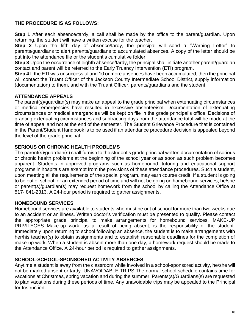# **THE PROCEDURE IS AS FOLLOWS:**

**Step 1** After each absence/tardy, a call shall be made by the office to the parent/quardian. Upon returning, the student will have a written excuse for the teacher.

**Step 2** Upon the fifth day of absence/tardy, the principal will send a "Warning Letter" to parents/guardians to alert parents/guardians to accumulated absences. A copy of the letter should be put into the attendance file or the student's cumulative folder.

**Step 3** Upon the occurrence of eighth absence/tardy, the principal shall initiate another parent/guardian contact and parent will be referred to the Early Truancy Intervention (ETI) program.

**Step 4** If the ETI was unsuccessful and 10 or more absences have been accumulated, then the principal will contact the Truant Officer of the Jackson County Intermediate School District, supply information (documentation) to them, and with the Truant Officer, parents/guardians and the student.

# **ATTENDANCE APPEALS**

The parent(s)/guardian(s) may make an appeal to the grade principal when extenuating circumstances or medical emergencies have resulted in excessive absenteeism. Documentation of extenuating circumstances or medical emergencies will be kept on file in the grade principal's office. Decisions of granting extenuating circumstances and subtracting days from the attendance total will be made at the time of appeal and not at the end of the semester. The Student Grievance Procedure that is contained in the Parent/Student Handbook is to be used if an attendance procedure decision is appealed beyond the level of the grade principal.

# **SERIOUS OR CHRONIC HEALTH PROBLEMS**

The parent(s)/guardian(s) shall furnish to the student's grade principal written documentation of serious or chronic health problems at the beginning of the school year or as soon as such problem becomes apparent. Students in approved programs such as homebound, tutoring and educational support programs in hospitals are exempt from the provisions of these attendance procedures. Such a student, upon meeting all the requirements of the special program, may earn course credit. If a student is going to be out of school for an extended period of time and will not be going on homebound services, he/she or parent(s)/guardian(s) may request homework from the school by calling the Attendance Office at 517- 841-2313. A 24-hour period is required to gather assignments.

# **HOMEBOUND SERVICES**

Homebound services are available to students who must be out of school for more than two weeks due to an accident or an illness. Written doctor's verification must be presented to qualify. Please contact the appropriate grade principal to make arrangements for homebound services. MAKE-UP PRIVILEGES Make-up work, as a result of being absent, is the responsibility of the student. Immediately upon returning to school following an absence, the student is to make arrangements with her/his teacher(s) to obtain assignments and to establish reasonable deadlines for the completion of make-up work. When a student is absent more than one day, a homework request should be made to the Attendance Office. A 24-hour period is required to gather assignments.

# **SCHOOL-SCHOOL-SPONSORED ACTIVITY ABSENCES**

Anytime a student is away from the classroom while involved in a school-sponsored activity, he/she will not be marked absent or tardy. UNAVOIDABLE TRIPS The normal school schedule contains time for vacations at Christmas, spring vacation and during the summer. Parents(s)/Guardians(s) are requested to plan vacations during these periods of time. Any unavoidable trips may be appealed to the Principal for Instruction.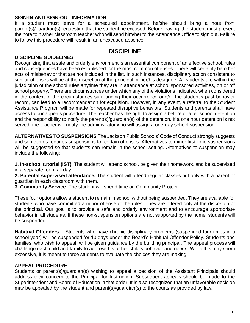## **SIGN-IN AND SIGN-OUT INFORMATION**

If a student must leave for a scheduled appointment, he/she should bring a note from parent(s)/guardian(s) requesting that the student be excused. Before leaving, the student must present the note to his/her classroom teacher who will send him/her to the Attendance Office to sign out. Failure to follow this procedure will result in an unexcused absence.

# **DISCIPLINE**

# **DISCIPLINE GUIDELINES**

Recognizing that a safe and orderly environment is an essential component of an effective school, rules and consequences have been established for the most common offenses. There will certainly be other acts of misbehavior that are not included in the list. In such instances, disciplinary action consistent to similar offenses will be at the discretion of the principal or her/his designee. All students are within the jurisdiction of the school rules anytime they are in attendance at school sponsored activities, on or off school property. There are circumstances under which any of the violations indicated, when considered in the context of the circumstances surrounding their occurrence and/or the student's past behavior record, can lead to a recommendation for expulsion. However, in any event, a referral to the Student Assistance Program will be made for repeated disruptive behaviors. Students and parents shall have access to our appeals procedure. The teacher has the right to assign a before or after school detention and the responsibility to notify the parent(s)/guardian(s) of the detention. If a one hour detention is not served, the teacher will notify the administrator who will assign a one-day school suspension.

**ALTERNATIVES TO SUSPENSIONS** The Jackson Public Schools' Code of Conduct strongly suggests and sometimes requires suspensions for certain offenses. Alternatives to minor first-time suspensions will be suggested so that students can remain in the school setting. Alternatives to suspension may include the following:

**1. In-school tutorial (IST)**. The student will attend school, be given their homework, and be supervised in a separate room all day.

**2. Parental supervised attendance.** The student will attend regular classes but only with a parent or guardian in each classroom with them.

**3. Community Service.** The student will spend time on Community Project.

These four options allow a student to remain in school without being suspended. They are available for students who have committed a minor offense of the rules. They are offered only at the discretion of the principal. Our goal is to provide a safe and orderly environment and to encourage appropriate behavior in all students. If these non-suspension options are not supported by the home, students will be suspended.

**Habitual Offenders** – Students who have chronic disciplinary problems (suspended four times in a school year) will be suspended for 10 days under the Board's Habitual Offender Policy. Students and families, who wish to appeal, will be given guidance by the building principal. The appeal process will challenge each child and family to address his or her child's behavior and needs. While this may seem excessive, it is meant to force students to evaluate the choices they are making.

# **APPEAL PROCEDURE**

Students or parent(s)/guardian(s) wishing to appeal a decision of the Assistant Principals should address their concern to the Principal for Instruction. Subsequent appeals should be made to the Superintendent and Board of Education in that order. It is also recognized that an unfavorable decision may be appealed by the student and parent(s)/guardian(s) to the courts as provided by law.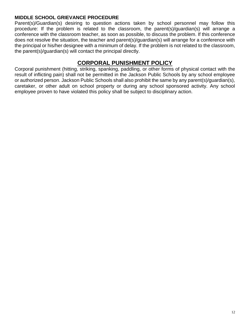## **MIDDLE SCHOOL GRIEVANCE PROCEDURE**

Parent(s)/Guardian(s) desiring to question actions taken by school personnel may follow this procedure: If the problem is related to the classroom, the parent(s)/guardian(s) will arrange a conference with the classroom teacher, as soon as possible, to discuss the problem. If this conference does not resolve the situation, the teacher and parent(s)/guardian(s) will arrange for a conference with the principal or his/her designee with a minimum of delay. If the problem is not related to the classroom, the parent(s)/guardian(s) will contact the principal directly.

# **CORPORAL PUNISHMENT POLICY**

Corporal punishment (hitting, striking, spanking, paddling, or other forms of physical contact with the result of inflicting pain) shall not be permitted in the Jackson Public Schools by any school employee or authorized person. Jackson Public Schools shall also prohibit the same by any parent(s)/guardian(s), caretaker, or other adult on school property or during any school sponsored activity. Any school employee proven to have violated this policy shall be subject to disciplinary action.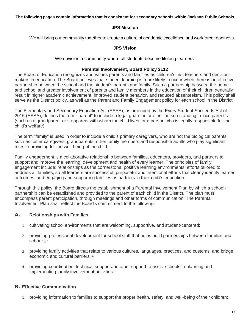**The following pages contain information that is consistent for secondary schools within Jackson Public Schools**

## **JPS Mission**

We will bring our community together to create a culture of academic excellence and workforce readiness.

### **JPS Vision**

We envision a community where all students become lifelong learners.

## **Parental Involvement, Board Policy 2112**

The Board of Education recognizes and values parents and families as children's first teachers and decisionmakers in education. The Board believes that student learning is more likely to occur when there is an effective partnership between the school and the student's parents and family. Such a partnership between the home and school and greater involvement of parents and family members in the education of their children generally result in higher academic achievement, improved student behavior, and reduced absenteeism. This policy shall serve as the District policy, as well as the Parent and Family Engagement policy for each school in the District.

The Elementary and Secondary Education Act (ESEA), as amended by the Every Student Succeeds Act of 2015 (ESSA), defines the term "parent" to include a legal guardian or other person standing in loco parentis (such as a grandparent or stepparent with whom the child lives, or a person who is legally responsible for the child's welfare).

The term "family" is used in order to include a child's primary caregivers, who are not the biological parents, such as foster caregivers, grandparents, other family members and responsible adults who play significant roles in providing for the well-being of the child.

Family engagement is a collaborative relationship between families, educators, providers, and partners to support and improve the learning, development and health of every learner. The principles of family engagement include: relationships as the cornerstone; positive learning environments; efforts tailored to address all families, so all learners are successful; purposeful and intentional efforts that clearly identify learner outcomes; and engaging and supporting families as partners in their child's education.

Through this policy, the Board directs the establishment of a Parental Involvement Plan by which a schoolpartnership can be established and provided to the parent of each child in the District. The plan must encompass parent participation, through meetings and other forms of communication. The Parental Involvement Plan shall reflect the Board's commitment to the following:

# **A. Relationships with Families**

- 1. cultivating school environments that are welcoming, supportive, and student-centered;
- 2. providing professional development for school staff that helps build partnerships between families and schools: 1,2
- 3. providing family activities that relate to various cultures, languages, practices, and customs, and bridge economic and cultural barriers; 12
- 4. providing coordination, technical support and other support to assist schools in planning and implementing family involvement activities. 2

# **B. Effective Communication**

1. providing information to families to support the proper health, safety, and well-being of their children;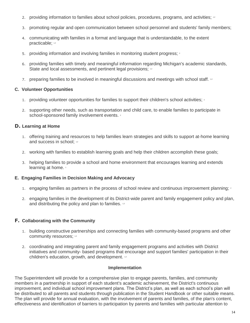- 2. providing information to families about school policies, procedures, programs, and activities; 12
- 3. promoting regular and open communication between school personnel and students' family members;
- 4. communicating with families in a format and language that is understandable, to the extent **practicable:** 1,2
- 5. providing information and involving families in monitoring student progress; 2
- 6. providing families with timely and meaningful information regarding Michigan's academic standards, State and local assessments, and pertinent legal provisions; 12
- 7. preparing families to be involved in meaningful discussions and meetings with school staff. 12

#### **C. Volunteer Opportunities**

- 1. providing volunteer opportunities for families to support their children's school activities;  $\frac{1}{2}$
- 2. supporting other needs, such as transportation and child care, to enable families to participate in school-sponsored family involvement events. 2

### **D. Learning at Home**

- 1. offering training and resources to help families learn strategies and skills to support at-home learning and success in school; 1,2
- 2. working with families to establish learning goals and help their children accomplish these goals;
- 3. helping families to provide a school and home environment that encourages learning and extends learning at home.

#### **E. Engaging Families in Decision Making and Advocacy**

- 1. engaging families as partners in the process of school review and continuous improvement planning; 2
- 2. engaging families in the development of its District-wide parent and family engagement policy and plan, and distributing the policy and plan to families. 12

#### **F. Collaborating with the Community**

- 1. building constructive partnerships and connecting families with community-based programs and other community resources; 1,2
- 2. coordinating and integrating parent and family engagement programs and activities with District initiatives and community- based programs that encourage and support families' participation in their children's education, growth, and development. 12

#### **Implementation**

The Superintendent will provide for a comprehensive plan to engage parents, families, and community members in a partnership in support of each student's academic achievement, the District's continuous improvement, and individual school improvement plans. The District's plan, as well as each school's plan will be distributed to all parents and students through publication in the Student Handbook or other suitable means. The plan will provide for annual evaluation, with the involvement of parents and families, of the plan's content, effectiveness and identification of barriers to participation by parents and families with particular attention to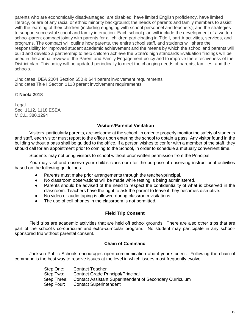parents who are economically disadvantaged, are disabled, have limited English proficiency, have limited literacy, or are of any racial or ethnic minority background; the needs of parents and family members to assist with the learning of their children (including engaging with school personnel and teachers); and the strategies to support successful school and family interaction. Each school plan will include the development of a written school-parent compact jointly with parents for all children participating in Title I, part A activities, services, and programs. The compact will outline how parents, the entire school staff, and students will share the responsibility for improved student academic achievement and the means by which the school and parents will build and develop a partnership to help children achieve the State's high standards Evaluation findings will be used in the annual review of the Parent and Family Engagement policy and to improve the effectiveness of the District plan. This policy will be updated periodically to meet the changing needs of parents, families, and the schools.

1Indicates IDEA 2004 Section 650 & 644 parent involvement requirements 2Indicates Title I Section 1118 parent involvement requirements

#### **© Neola 2018**

Legal Sec. 1112, 1118 ESEA M.C.L. 380.1294

#### **Visitors/Parental Visitation**

 Visitors, particularly parents, are welcome at the school. In order to properly monitor the safety of students and staff, each visitor must report to the office upon entering the school to obtain a pass. Any visitor found in the building without a pass shall be guided to the office. If a person wishes to confer with a member of the staff, they should call for an appointment prior to coming to the School, in order to schedule a mutually convenient time.

Students may not bring visitors to school without prior written permission from the Principal.

 You may visit and observe your child's classroom for the purpose of observing instructional activities based on the following guidelines:

- Parents must make prior arrangements through the teacher/principal.
- No classroom observations will be made while testing is being administered.
- Parents should be advised of the need to respect the confidentiality of what is observed in the classroom. Teachers have the right to ask the parent to leave if they becomes disruptive.
- No video or audio taping is allowed during classroom visitations.
- The use of cell phones in the classroom is not permitted.

#### **Field Trip Consent**

Field trips are academic activities that are held off school grounds. There are also other trips that are part of the school's co-curricular and extra-curricular program. No student may participate in any schoolsponsored trip without parental consent.

#### **Chain of Command**

 Jackson Public Schools encourages open communication about your student. Following the chain of command is the best way to resolve issues at the level in which issues most frequently evolve.

| Step One:   | <b>Contact Teacher</b>                                   |
|-------------|----------------------------------------------------------|
| Step Two:   | <b>Contact Grade Principal/Principal</b>                 |
| Step Three: | Contact Assistant Superintendent of Secondary Curriculum |
| Step Four:  | <b>Contact Superintendent</b>                            |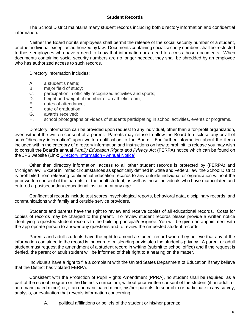#### **Student Records**

The School District maintains many student records including both directory information and confidential information.

Neither the Board nor its employees shall permit the release of the social security number of a student, or other individual except as authorized by law. Documents containing social security numbers shall be restricted to those employees who have a need to know that information or a need to access those documents. When documents containing social security numbers are no longer needed, they shall be shredded by an employee who has authorized access to such records.

Directory information includes:

- A. a student's name;
- B. major field of study;
- C. participation in officially recognized activities and sports;
- D. height and weight, if member of an athletic team;
- E. dates of attendance;
- F. date of graduation;
- G. awards received;
- H. school photographs or videos of students participating in school activities, events or programs.

Directory information can be provided upon request to any individual, other than a for-profit organization, even without the written consent of a parent. Parents may refuse to allow the Board to disclose any or all of such "directory information" upon written notification to the Board. For further information about the items included within the category of directory information and instructions on how to prohibit its release you may wish to consult the Board's annual *Family Education Rights and Privacy Act* (FERPA) notice which can be found on the JPS website (Link: [Directory Information -](https://www.jpsk12.org/cms/lib/MI01908028/Centricity/Domain/27/FERPA%20Annual%20Notification%20-%20Directory%20Information.pdf) Annual Notice)

Other than directory information, access to all other student records is protected by (FERPA) and Michigan law. Except in limited circumstances as specifically defined in State and Federal law, the School District is prohibited from releasing confidential education records to any outside individual or organization without the prior written consent of the parents, or the adult student, as well as those individuals who have matriculated and entered a postsecondary educational institution at any age.

Confidential records include test scores, psychological reports, behavioral data, disciplinary records, and communications with family and outside service providers.

Students and parents have the right to review and receive copies of all educational records. Costs for copies of records may be charged to the parent. To review student records please provide a written notice identifying requested student records to the building principal/designee. You will be given an appointment with the appropriate person to answer any questions and to review the requested student records.

Parents and adult students have the right to amend a student record when they believe that any of the information contained in the record is inaccurate, misleading or violates the student's privacy. A parent or adult student must request the amendment of a student record in writing (submit to school office) and if the request is denied, the parent or adult student will be informed of their right to a hearing on the matter.

Individuals have a right to file a complaint with the United States Department of Education if they believe that the District has violated FERPA.

Consistent with the Protection of Pupil Rights Amendment (PPRA), no student shall be required, as a part of the school program or the District's curriculum, without prior written consent of the student (if an adult, or an emancipated minor) or, if an unemancipated minor, his/her parents, to submit to or participate in any survey, analysis, or evaluation that reveals information concerning:

A. political affiliations or beliefs of the student or his/her parents;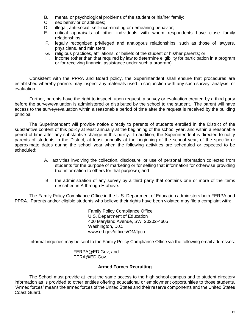- B. mental or psychological problems of the student or his/her family;
- C. sex behavior or attitudes;
- D. illegal, anti-social, self-incriminating or demeaning behavior;
- E. critical appraisals of other individuals with whom respondents have close family relationships;
- F. legally recognized privileged and analogous relationships, such as those of lawyers, physicians, and ministers;
- G. religious practices, affiliations, or beliefs of the student or his/her parents; or
- income (other than that required by law to determine eligibility for participation in a program or for receiving financial assistance under such a program).

Consistent with the PPRA and Board policy, the Superintendent shall ensure that procedures are established whereby parents may inspect any materials used in conjunction with any such survey, analysis, or evaluation.

Further, parents have the right to inspect, upon request, a survey or evaluation created by a third party before the survey/evaluation is administered or distributed by the school to the student. The parent will have access to the survey/evaluation within a reasonable period of time after the request is received by the building principal.

The Superintendent will provide notice directly to parents of students enrolled in the District of the substantive content of this policy at least annually at the beginning of the school year, and within a reasonable period of time after any substantive change in this policy. In addition, the Superintendent is directed to notify parents of students in the District, at least annually at the beginning of the school year, of the specific or approximate dates during the school year when the following activities are scheduled or expected to be scheduled:

- A. activities involving the collection, disclosure, or use of personal information collected from students for the purpose of marketing or for selling that information for otherwise providing that information to others for that purpose); and
- B. the administration of any survey by a third party that contains one or more of the items described in A through H above.

The Family Policy Compliance Office in the U.S. Department of Education administers both FERPA and PPRA. Parents and/or eligible students who believe their rights have been violated may file a complaint with:

> Family Policy Compliance Office U.S. Department of Education 400 Maryland Avenue, SW 20202-4605 Washington, D.C. www.ed.gov/offices/OM/fpco

Informal inquiries may be sent to the Family Policy Compliance Office via the following email addresses:

 FERPA@ED.Gov; and PPRA@ED.Gov.

#### **Armed Forces Recruiting**

The School must provide at least the same access to the high school campus and to student directory information as is provided to other entities offering educational or employment opportunities to those students. "Armed forces" means the armed forces of the United States and their reserve components and the United States Coast Guard.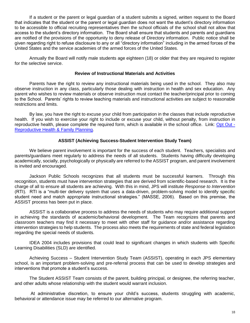If a student or the parent or legal guardian of a student submits a signed, written request to the Board that indicates that the student or the parent or legal guardian does not want the student's directory information to be accessible to official recruiting representatives then the school officials of the school shall not allow that access to the student's directory information. The Board shall ensure that students and parents and guardians are notified of the provisions of the opportunity to deny release of Directory information. Public notice shall be given regarding right to refuse disclosure to any or all "directory information" including in the armed forces of the United States and the service academies of the armed forces of the United States.

Annually the Board will notify male students age eighteen (18) or older that they are required to register for the selective service.

#### **Review of Instructional Materials and Activities**

 Parents have the right to review any instructional materials being used in the school. They also may observe instruction in any class, particularly those dealing with instruction in health and sex education. Any parent who wishes to review materials or observe instruction must contact the teacher/principal prior to coming to the School. Parents' rights to review teaching materials and instructional activities are subject to reasonable restrictions and limits.

 By law, you have the right to excuse your child from participation in the classes that include reproductive health. If you wish to exercise your right to include or excuse your child, without penalty, from instruction in reproductive health, please complete the required form, which is available in the school office. Link[:](https://drive.google.com/file/d/1xeHiVc5gI5D_kIQSh-sgDz4pnALjTzYE/view?usp=sharing) [Opt Out -](https://drive.google.com/file/d/1xeHiVc5gI5D_kIQSh-sgDz4pnALjTzYE/view?usp=sharing) [Reproductive Health & Family Planning.](https://drive.google.com/file/d/1xeHiVc5gI5D_kIQSh-sgDz4pnALjTzYE/view?usp=sharing)

## **ASSIST (Achieving Success-Student Intervention Study Team)**

 We believe parent involvement is important for the success of each student. Teachers, specialists and parents/guardians meet regularly to address the needs of all students. Students having difficulty developing academically, socially, psychologically or physically are referred to the ASSIST program, and parent involvement is invited and encouraged.

 Jackson Public Schools recognizes that all students must be successful learners. Through this recognition, students must have intervention strategies that are derived from scientific-based research. It is the charge of all to ensure all students are achieving. With this in mind, JPS will institute *Response to Intervention*  (RTI). RTI is a "multi-tier delivery system that uses a data-driven, problem-solving model to identify specific student need and match appropriate instructional strategies." (MASSE, 2006). Based on this premise, the ASSIST process has been put in place.

ASSIST is a collaborative process to address the needs of students who may require additional support in achieving the standards of academic/behavioral development. The Team recognizes that parents and classroom teachers may find it necessary to meet with other staff for guidance and/or assistance regarding intervention strategies to help students. The process also meets the requirements of state and federal legislation regarding the special needs of students.

IDEA 2004 includes provisions that could lead to significant changes in which students with Specific Learning Disabilities (SLD) are identified.

Achieving Success – Student Intervention Study Team (ASSIST), operating in each JPS elementary school, is an important problem-solving and pre-referral process that can be used to develop strategies and interventions that promote a student's success.

The Student ASSIST Team consists of the parent, building principal, or designee, the referring teacher, and other adults whose relationship with the student would warrant inclusion.

At administrative discretion, to ensure your child's success, students struggling with academic, behavioral or attendance issue may be referred to our alternative program.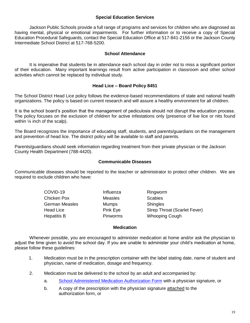#### **Special Education Services**

 Jackson Public Schools provide a full range of programs and services for children who are diagnosed as having mental, physical or emotional impairments. For further information or to receive a copy of Special Education Procedural Safeguards, contact the Special Education Office at 517-841-2156 or the Jackson County Intermediate School District at 517-768-5200.

#### **School Attendance**

 It is imperative that students be in attendance each school day in order not to miss a significant portion of their education. Many important learnings result from active participation in classroom and other school activities which cannot be replaced by individual study.

#### **Head Lice – Board Policy 8451**

The School District Head Lice policy follows the evidence-based recommendations of state and national health organizations. The policy is based on current research and will assure a healthy environment for all children.

It is the school board's position that the management of pediculosis should not disrupt the education process. The policy focuses on the exclusion of children for active infestations only (presence of live lice or nits found within  $\frac{1}{4}$  inch of the scalp).

The Board recognizes the importance of educating staff, students, and parents/guardians on the management and prevention of head lice. The district policy will be available to staff and parents.

Parents/guardians should seek information regarding treatment from their private physician or the Jackson County Health Department (788-4420).

#### **Communicable Diseases**

Communicable diseases should be reported to the teacher or administrator to protect other children. We are required to exclude children who have:

> COVID-19 **Influenza** Ringworm Chicken Pox Measles Scabies German Measles **Mumps** Shingles

Head Lice **Pink Eye** Strep Throat (Scarlet Fever) Hepatitis B **Pinworms** Whooping Cough

#### **Medication**

 Whenever possible, you are encouraged to administer medication at home and/or ask the physician to adjust the time given to avoid the school day. If you are unable to administer your child's medication at home, please follow these guidelines:

- 1. Medication must be in the prescription container with the label stating date, name of student and physician, name of medication, dosage and frequency.
- 2. Medication must be delivered to the school by an adult and accompanied by:
	- a. [School Administered Medication Authorization Form](https://drive.google.com/file/d/18IvGA-IYc_DTvth6rE2gKwvdA3PykuVW/view?usp=sharing) with a physician signature, or
	- b. A copy of the prescription with the physician signature attached to the authorization form, or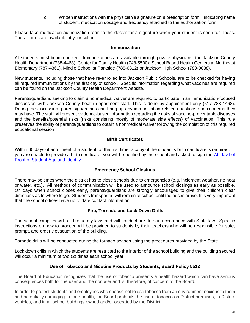c. Written instructions with the physician's signature on a prescription form indicating name of student, medication dosage and frequency attached to the authorization form.

Please take medication authorization form to the doctor for a signature when your student is seen for illness. These forms are available at your school.

#### **Immunization**

All students must be immunized. Immunizations are available through private physicians; the Jackson County Health Department (788-4468); Center for Family Health (748-5500); School Based Health Centers at Northeast Elementary (787-4361), Middle School at Parkside (788-6812) or Jackson High School (780-0838).

New students, including those that have re-enrolled into Jackson Public Schools, are to be checked for having all required immunizations by the first day of school. Specific information regarding what vaccines are required can be found on the Jackson County Health Department website.

Parents/guardians seeking to claim a nonmedical waiver are required to participate in an immunization-focused discussion with Jackson County health department staff. This is done by appointment only (517-788-4468). During the discussion, parents/guardians can bring up any immunization-related questions and concerns they may have. The staff will present evidence-based information regarding the risks of vaccine-preventable diseases and the benefits/potential risks (risks consisting mostly of moderate side effects) of vaccination. This rule preserves the ability of parents/guardians to obtain a nonmedical waiver following the completion of this required educational session.

#### **Birth Certificates**

Within 30 days of enrollment of a student for the first time, a copy of the student's birth certificate is required. If you are unable to provide a birth certificate, you will be notified by the school and asked to sign the [Affidavit of](https://drive.google.com/file/d/1lrzyO9QzVH6JWydoUdXuqVUcYPn31jhZ/view?usp=sharing)  [Proof of Student Age and Identity.](https://drive.google.com/file/d/1lrzyO9QzVH6JWydoUdXuqVUcYPn31jhZ/view?usp=sharing)

#### **Emergency School Closings**

There may be times when the district has to close schools due to emergencies (e.g. inclement weather, no heat or water, etc.). All methods of communication will be used to announce school closings as early as possible. On days when school closes early, parents/guardians are strongly encouraged to give their children clear directions as to where to go. Students transported will remain at school until the buses arrive. It is very important that the school offices have up to date contact information.

#### **Fire, Tornado and Lock Down Drills**

The school complies with all fire safety laws and will conduct fire drills in accordance with State law. Specific instructions on how to proceed will be provided to students by their teachers who will be responsible for safe, prompt, and orderly evacuation of the building.

Tornado drills will be conducted during the tornado season using the procedures provided by the State.

Lock down drills in which the students are restricted to the interior of the school building and the building secured will occur a minimum of two (2) times each school year.

#### **Use of Tobacco and Nicotine Products by Students, Board Policy 5512**

The Board of Education recognizes that the use of tobacco presents a health hazard which can have serious consequences both for the user and the nonuser and is, therefore, of concern to the Board.

In order to protect students and employees who choose not to use tobacco from an environment noxious to them and potentially damaging to their health, the Board prohibits the use of tobacco on District premises, in District vehicles, and in all school buildings owned and/or operated by the District.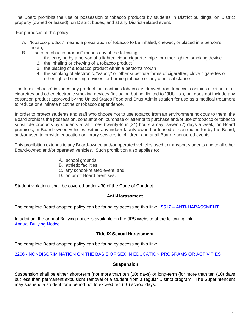The Board prohibits the use or possession of tobacco products by students in District buildings, on District property (owned or leased), on District buses, and at any District-related event.

For purposes of this policy:

- A. "tobacco product" means a preparation of tobacco to be inhaled, chewed, or placed in a person's mouth;
- B. "use of a tobacco product" means any of the following:
	- 1. the carrying by a person of a lighted cigar, cigarette, pipe, or other lighted smoking device
	- 2. the inhaling or chewing of a tobacco product
	- 3. the placing of a tobacco product within a person's mouth
	- 4. the smoking of electronic, "vapor," or other substitute forms of cigarettes, clove cigarettes or other lighted smoking devices for burning tobacco or any other substance

The term "tobacco" includes any product that contains tobacco, is derived from tobacco, contains nicotine, or ecigarettes and other electronic smoking devices (including but not limited to "JUUL's"), but does not include any cessation product approved by the United States Food and Drug Administration for use as a medical treatment to reduce or eliminate nicotine or tobacco dependence.

In order to protect students and staff who choose not to use tobacco from an environment noxious to them, the Board prohibits the possession, consumption, purchase or attempt to purchase and/or use of tobacco or tobacco substitute products by students at all times (twenty-four (24) hours a day, seven (7) days a week) on Board premises, in Board-owned vehicles, within any indoor facility owned or leased or contracted for by the Board, and/or used to provide education or library services to children, and at all Board-sponsored events.

This prohibition extends to any Board-owned and/or operated vehicles used to transport students and to all other Board-owned and/or operated vehicles. Such prohibition also applies to:

- A. school grounds,
- B. athletic facilities,
- C. any school-related event, and
- D. on or off Board premises.

Student violations shall be covered under #30 of the Code of Conduct.

#### **Anti-Harassment**

The complete Board adopted policy can be found by accessing this link: [5](https://drive.google.com/file/d/18fV5tckpcJhGraEDXk6ixCfjhYSlraGw/view?usp=sharing)517 – [ANTI-HARASSMENT](https://drive.google.com/file/d/18fV5tckpcJhGraEDXk6ixCfjhYSlraGw/view?usp=sharing)

In addition, the annual Bullying notice is available on the JPS Website at the following link: [Annual Bullying Notice.](https://www.jpsk12.org/cms/lib/MI01908028/Centricity/Domain/27/Bullying%20-%20Annual%20Notification.pdf)

## **Title IX Sexual Harassment**

The complete Board adopted policy can be found by accessing this link:

2266 - [NONDISCRIMINATION ON THE BASIS OF SEX IN EDUCATION PROGRAMS OR ACTIVITIES](https://drive.google.com/file/d/18Xx-VdcHCubfYb8phsg45UZ9DcqVEH4T/view?usp=sharing)

#### **Suspension**

Suspension shall be either short-term (not more than ten (10) days) or long-term (for more than ten (10) days but less than permanent expulsion) removal of a student from a regular District program. The Superintendent may suspend a student for a period not to exceed ten (10) school days.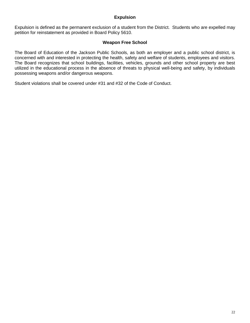#### **Expulsion**

Expulsion is defined as the permanent exclusion of a student from the District. Students who are expelled may petition for reinstatement as provided in Board Policy 5610.

#### **Weapon Free School**

The Board of Education of the Jackson Public Schools, as both an employer and a public school district, is concerned with and interested in protecting the health, safety and welfare of students, employees and visitors. The Board recognizes that school buildings, facilities, vehicles, grounds and other school property are best utilized in the educational process in the absence of threats to physical well-being and safety, by individuals possessing weapons and/or dangerous weapons.

Student violations shall be covered under #31 and #32 of the Code of Conduct.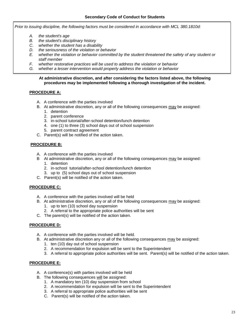*Prior to issuing discipline, the following factors must be considered in accordance with MCL 380.1810d:*

- *A. the student's age*
- *B. the student's disciplinary history*
- *C. whether the student has a disability*
- *D. the seriousness of the violation or behavior*
- *E. whether the violation or behavior committed by the student threatened the safety of any student or staff member*
- *F. whether restorative practices will be used to address the violation or behavior*
- *G. whether a lesser intervention would properly address the violation or behavior*

#### **At administrative discretion, and after considering the factors listed above, the following procedures may be implemented following a thorough investigation of the incident.**

#### **PROCEDURE A:**

- A. A conference with the parties involved
- B. At administrative discretion, any or all of the following consequences may be assigned:
	- 1. detention
	- 2. parent conference
	- 3. in-school tutorial/after-school detention/lunch detention
	- 4. one (1) to three (3) school days out of school suspension
	- 5. parent contract agreement
- C. Parent(s) will be notified of the action taken.

#### **PROCEDURE B:**

- A. A conference with the parties involved
- B At administrative discretion, any or all of the following consequences may be assigned: 1. detention
	- 2. in-school tutorial/after-school detention/lunch detention
	- 3. up to (5) school days out of school suspension
- C. Parent(s) will be notified of the action taken.

#### **PROCEDURE C:**

- A. A conference with the parties involved will be held
- B. At administrative discretion, any or all of the following consequences may be assigned:
	- 1. up to ten (10) school day suspension
	- 2. A referral to the appropriate police authorities will be sent
- C. The parent(s) will be notified of the action taken.

#### **PROCEDURE D:**

- A. A conference with the parties involved will be held.
- B. At administrative discretion any or all of the following consequences may be assigned:
	- 1. ten (10) day out of school suspension
	- 2. A recommendation for expulsion will be sent to the Superintendent
	- 3. A referral to appropriate police authorities will be sent. Parent(s) will be notified of the action taken.

#### **PROCEDURE E:**

- A. A conference(s) with parties involved will be held
- B. The following consequences will be assigned:
	- 1. A mandatory ten (10) day suspension from school
	- 2. A recommendation for expulsion will be sent to the Superintendent
	- 3. A referral to appropriate police authorities will be sent
	- C. Parent(s) will be notified of the action taken.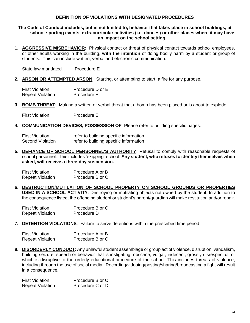#### **DEFINITION OF VIOLATIONS WITH DESIGNATED PROCEDURES**

#### **The Code of Conduct includes, but is not limited to, behavior that takes place in school buildings, at school sporting events, extracurricular activities (i.e. dances) or other places where it may have an impact on the school setting.**

**1. AGGRESSIVE MISBEHAVIOR**: Physical contact or threat of physical contact towards school employees, or other adults working in the building**, with the intention** of doing bodily harm by a student or group of students. This can include written, verbal and electronic communication.

State law mandated Procedure E

**2. ARSON OR ATTEMPTED ARSON**: Starting, or attempting to start, a fire for any purpose.

| <b>First Violation</b>  | Procedure D or E |
|-------------------------|------------------|
| <b>Repeat Violation</b> | Procedure E      |

**3. BOMB THREAT**: Making a written or verbal threat that a bomb has been placed or is about to explode.

First Violation Procedure E

**4. COMMUNICATION DEVICES, POSSESSION OF**: Please refer to building specific pages.

| <b>First Violation</b>  | refer to building specific information |
|-------------------------|----------------------------------------|
| <b>Second Violation</b> | refer to building specific information |

**5. DEFIANCE OF SCHOOL PERSONNEL'S AUTHORITY**: Refusal to comply with reasonable requests of school personnel. This includes "skipping" school. **Any student, who refuses to identify themselves when asked, will receive a three-day suspension.**

| <b>First Violation</b>  | Procedure A or B |
|-------------------------|------------------|
| <b>Repeat Violation</b> | Procedure B or C |

**6. DESTRUCTION/MUTILATION OF SCHOOL PROPERTY ON SCHOOL GROUNDS OR PROPERTIES USED IN A SCHOOL ACTIVITY**: Destroying or mutilating objects not owned by the student. In addition to the consequence listed, the offending student or student's parent/guardian will make restitution and/or repair.

| <b>First Violation</b>  | Procedure B or C |
|-------------------------|------------------|
| <b>Repeat Violation</b> | Procedure D      |

**7. DETENTION VIOLATIONS**: Failure to serve detentions within the prescribed time period

| <b>First Violation</b>  | Procedure A or B |
|-------------------------|------------------|
| <b>Repeat Violation</b> | Procedure B or C |

**8. DISORDERLY CONDUCT**: Any unlawful student assemblage or group act of violence, disruption, vandalism, building seizure, speech or behavior that is instigating, obscene, vulgar, indecent, grossly disrespectful, or which is disruptive to the orderly educational procedure of the school. This includes threats of violence, including through the use of social media. Recording/videoing/posting/sharing/broadcasting a fight will result in a consequence.

First Violation **Procedure B or C** Repeat Violation Procedure C or D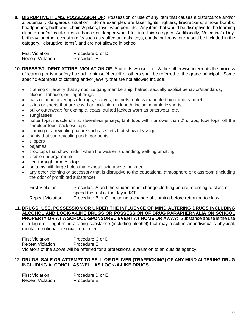**9. DISRUPTIVE ITEMS, POSSESSION OF**: Possession or use of any item that causes a disturbance and/or a potentially dangerous situation. Some examples are laser lights, lighters, firecrackers, smoke bombs, headphones, bullhorns, chains/spikes, toys, vape pen, etc. Any item that would be disruptive to the learning climate and/or create a disturbance or danger would fall into this category. Additionally, Valentine's Day, birthday, or other occasion gifts such as stuffed animals, toys, candy, balloons, etc. would be included in the category, "disruptive items", and are not allowed in school.

| <b>First Violation</b>  | Procedure C or D |
|-------------------------|------------------|
| <b>Repeat Violation</b> | Procedure E      |

- **10. DRESS/STUDENT ATTIRE, VIOLATION OF**: Students whose dress/attire otherwise interrupts the process of learning or is a safety hazard to himself/herself or others shall be referred to the grade principal. Some specific examples of clothing and/or jewelry that are not allowed include:
	- clothing or jewelry that symbolize gang membership, hatred, sexually explicit behavior/standards, alcohol, tobacco, or illegal drugs
	- hats or head coverings (do-rags, scarves, bonnets) unless mandated by religious belief
	- skirts or shorts that are less than mid-thigh in length; including athletic shorts
	- bulky outerwear; for example, coats, quilted jackets worn as outerwear, etc.
	- sunglasses
	- halter tops, muscle shirts, sleeveless jerseys, tank tops with narrower than 2" straps, tube tops, off the shoulder tops, backless tops
	- clothing of a revealing nature such as shirts that show cleavage
	- pants that sag revealing undergarments
	- slippers
	- pajamas
	- crop tops that show midriff when the wearer is standing, walking or sitting
	- visible undergarments
	- see-through or mesh tops
	- bottoms with large holes that expose skin above the knee
	- any other clothing or accessory that is disruptive to the educational atmosphere or classroom (including the odor of prohibited substance)

First Violation Procedure A and the student must change clothing before returning to class or spend the rest of the day in IST.

Repeat Violation Procedure B or C, including a change of clothing before returning to class

#### **11. DRUGS: USE, POSSESSION OR UNDER THE INFLUENCE OF MIND ALTERING DRUGS INCLUDING ALCOHOL AND LOOK-A-LIKE DRUGS OR POSSESSION OF DRUG PARAPHERNALIA ON SCHOOL PROPERTY OR AT A SCHOOL-SPONSORED EVENT AT HOME OR AWAY: Substance abuse is the use**

of a legal or illegal mind-altering substance (including alcohol) that may result in an individual's physical, mental, emotional or social impairment.

First Violation Procedure C or D Repeat Violation Procedure E Violators of the above will be referred for a professional evaluation to an outside agency.

## **12. DRUGS: SALE OR ATTEMPT TO SELL OR DELIVER (TRAFFICKING) OF ANY MIND ALTERING DRUG INCLUDING ALCOHOL, AS WELL AS LOOK-A-LIKE DRUGS**

First Violation **Procedure D** or E Repeat Violation Procedure E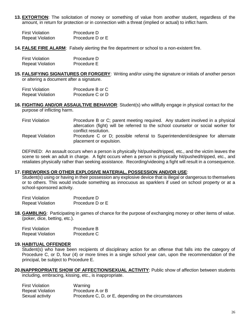**13. EXTORTION**: The solicitation of money or something of value from another student, regardless of the amount, in return for protection or in connection with a threat (implied or actual) to inflict harm.

| <b>First Violation</b>  | Procedure D      |
|-------------------------|------------------|
| <b>Repeat Violation</b> | Procedure D or E |

**14. FALSE FIRE ALARM**: Falsely alerting the fire department or school to a non-existent fire.

| <b>First Violation</b>  | Procedure D |
|-------------------------|-------------|
| <b>Repeat Violation</b> | Procedure E |

**15. FALSIFYING SIGNATURES OR FORGERY**: Writing and/or using the signature or initials of another person or altering a document after a signature.

| <b>First Violation</b>  | Procedure B or C |
|-------------------------|------------------|
| <b>Repeat Violation</b> | Procedure C or D |

**16. FIGHTING AND/OR ASSAULTIVE BEHAVIOR**: Student(s) who willfully engage in physical contact for the purpose of inflicting harm.

| <b>First Violation</b>  | Procedure B or C; parent meeting required. Any student involved in a physical                           |
|-------------------------|---------------------------------------------------------------------------------------------------------|
|                         | altercation (fight) will be referred to the school counselor or social worker for                       |
|                         | conflict resolution.                                                                                    |
| <b>Repeat Violation</b> | Procedure C or D; possible referral to Superintendent/designee for alternate<br>placement or expulsion. |

DEFINED: An assault occurs when a person is physically hit/pushed/tripped, etc., and the victim leaves the scene to seek an adult in charge. A fight occurs when a person is physically hit/pushed/tripped, etc., and retaliates physically rather than seeking assistance. Recording/videoing a fight will result in a consequence.

#### **17. FIREWORKS OR OTHER EXPLOSIVE MATERIAL, POSSESSION AND/OR USE**:

Student(s) using or having in their possession any explosive device that is illegal or dangerous to themselves or to others. This would include something as innocuous as sparklers if used on school property or at a school-sponsored activity.

| <b>First Violation</b>  | Procedure D      |
|-------------------------|------------------|
| <b>Repeat Violation</b> | Procedure D or E |

**18. GAMBLING**: Participating in games of chance for the purpose of exchanging money or other items of value. (poker, dice, betting, etc.).

| <b>First Violation</b>  | Procedure B |
|-------------------------|-------------|
| <b>Repeat Violation</b> | Procedure C |

#### **19. HABITUAL OFFENDER**

Student(s) who have been recipients of disciplinary action for an offense that falls into the category of Procedure C, or D, four (4) or more times in a single school year can, upon the recommendation of the principal, be subject to Procedure E.

**20.INAPPROPRIATE SHOW OF AFFECTION/SEXUAL ACTIVITY**: Public show of affection between students including, embracing, kissing, etc., is inappropriate.

| <b>First Violation</b>  | Warning                                              |
|-------------------------|------------------------------------------------------|
| <b>Repeat Violation</b> | Procedure A or B                                     |
| Sexual activity         | Procedure C, D, or E, depending on the circumstances |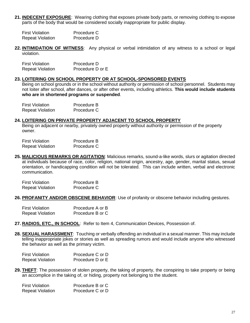**21. INDECENT EXPOSURE**: Wearing clothing that exposes private body parts, or removing clothing to expose parts of the body that would be considered socially inappropriate for public display.

| First Violation         | Procedure C |
|-------------------------|-------------|
| <b>Repeat Violation</b> | Procedure D |

**22. INTIMIDATION OF WITNESS**: Any physical or verbal intimidation of any witness to a school or legal violation.

| <b>First Violation</b>  | Procedure D      |
|-------------------------|------------------|
| <b>Repeat Violation</b> | Procedure D or E |

#### **23. LOITERING ON SCHOOL PROPERTY OR AT SCHOOL-SPONSORED EVENTS**

Being on school grounds or in the school without authority or permission of school personnel. Students may not loiter after school, after dances, or after other events, including athletics. **This would include students who are in shortened programs or suspended**.

| <b>First Violation</b>  | Procedure B |
|-------------------------|-------------|
| <b>Repeat Violation</b> | Procedure C |

#### **24. LOITERING ON PRIVATE PROPERTY ADJACENT TO SCHOOL PROPERTY**

Being on adjacent or nearby, privately owned property without authority or permission of the property owner.

| <b>First Violation</b>  | Procedure B |
|-------------------------|-------------|
| <b>Repeat Violation</b> | Procedure C |

**25. MALICIOUS REMARKS OR AGITATION**: Malicious remarks, sound-a-like words, slurs or agitation directed at individuals because of race, color, religion, national origin, ancestry, age, gender, marital status, sexual orientation, or handicapping condition will not be tolerated. This can include written, verbal and electronic communication.

| <b>First Violation</b>  | Procedure B |
|-------------------------|-------------|
| <b>Repeat Violation</b> | Procedure C |

**26. PROFANITY AND/OR OBSCENE BEHAVIOR**: Use of profanity or obscene behavior including gestures.

| <b>First Violation</b>  | Procedure A or B |
|-------------------------|------------------|
| <b>Repeat Violation</b> | Procedure B or C |

- **27. RADIOS, ETC., IN SCHOOL**: Refer to Item 4, Communication Devices, Possession of.
- **28. SEXUAL HARASSMENT**: Touching or verbally offending an individual in a sexual manner. This may include telling inappropriate jokes or stories as well as spreading rumors and would include anyone who witnessed the behavior as well as the primary victim.

| <b>First Violation</b>  | Procedure C or D |
|-------------------------|------------------|
| <b>Repeat Violation</b> | Procedure D or E |

**29. THEFT**: The possession of stolen property, the taking of property, the conspiring to take property or being an accomplice in the taking of, or hiding, property not belonging to the student.

| <b>First Violation</b>  | Procedure B or C |
|-------------------------|------------------|
| <b>Repeat Violation</b> | Procedure C or D |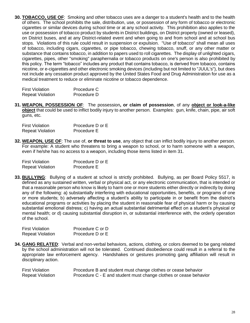**30. TOBACCO, USE OF**: Smoking and other tobacco uses are a danger to a student's health and to the health of others. The school prohibits the sale, distribution, use, or possession of any form of tobacco or electronic cigarettes or similar devices during school time or at any school activity. This prohibition also applies to the use or possession of tobacco product by students in District buildings, on District property (owned or leased), on District buses, and at any District-related event and when going to and from school and at school bus stops. Violations of this rule could result in suspension or expulsion. "Use of tobacco" shall mean all uses of tobacco, including cigars, cigarettes, or pipe tobacco, chewing tobacco, snuff, or any other matter or substance that contains tobacco, in addition to papers used to roll cigarettes. The display of unlighted cigars, cigarettes, pipes, other "smoking" paraphernalia or tobacco products on one's person is also prohibited by this policy. The term "tobacco" includes any product that contains tobacco, is derived from tobacco, contains nicotine, or e-cigarettes and other electronic smoking devices (including but not limited to "JUUL's"), but does not include any cessation product approved by the United States Food and Drug Administration for use as a medical treatment to reduce or eliminate nicotine or tobacco dependence.

| <b>First Violation</b>  | Procedure C |
|-------------------------|-------------|
| <b>Repeat Violation</b> | Procedure D |

**31. WEAPON, POSSESSION OF**: The possession**, or claim of possession**, of any **object or look-a-like object** that could be used to inflict bodily injury to another person. Examples: gun, knife, chain, pipe, air soft guns, etc.

| <b>First Violation</b>  | Procedure D or E |
|-------------------------|------------------|
| <b>Repeat Violation</b> | Procedure E      |

**32. WEAPON, USE OF**: The use of, **or threat to use**, any object that can inflict bodily injury to another person. For example: A student who threatens to bring a weapon to school, or to harm someone with a weapon, even if he/she has no access to a weapon, including those items listed in item 31.

| First Violation         | Procedure D or E |
|-------------------------|------------------|
| <b>Repeat Violation</b> | Procedure E      |

**33. BULLYING**: Bullying of a student at school is strictly prohibited. Bullying, as per Board Policy 5517, is defined as any sustained written, verbal or physical act, or any electronic communication, that is intended or that a reasonable person who know is likely to harm one or more students either directly or indirectly by doing any of the following: a) substantially interfering with educational opportunities, benefits, or programs of one or more students; b) adversely affecting a student's ability to participate in or benefit from the district's educational programs or activities by placing the student in reasonable fear of physical harm or by causing substantial emotional distress; c) having an actual substantial detrimental effect on a student's physical or mental health; or d) causing substantial disruption in, or substantial interference with, the orderly operation of the school.

| First Violation         | Procedure C or D |
|-------------------------|------------------|
| <b>Repeat Violation</b> | Procedure D or E |

**34. GANG RELATED**: Verbal and non-verbal behaviors, actions, clothing, or colors deemed to be gang related by the school administration will not be tolerated. Continued disobedience could result in a referral to the appropriate law enforcement agency. Handshakes or gestures promoting gang affiliation will result in disciplinary action.

| <b>First Violation</b>  | Procedure B and student must change clothes or cease behavior     |
|-------------------------|-------------------------------------------------------------------|
| <b>Repeat Violation</b> | Procedure C - E and student must change clothes or cease behavior |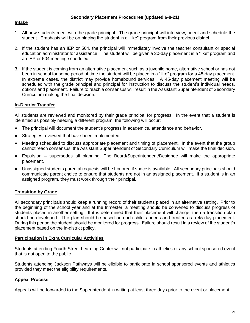#### **Intake**

- 1. All new students meet with the grade principal. The grade principal will interview, orient and schedule the student. Emphasis will be on placing the student in a "like" program from their previous district.
- 2. If the student has an IEP or 504, the principal will immediately involve the teacher consultant or special education administrator for assistance. The student will be given a 30-day placement in a "like" program and an IEP or 504 meeting scheduled.
- 3. If the student is coming from an alternative placement such as a juvenile home, alternative school or has not been in school for some period of time the student will be placed in a "like" program for a 45-day placement. In extreme cases, the district may provide homebound services. A 45-day placement meeting will be scheduled with the grade principal and principal for instruction to discuss the student's individual needs, options and placement. Failure to reach a consensus will result in the Assistant Superintendent of Secondary Curriculum making the final decision.

## **In-District Transfer**

All students are reviewed and monitored by their grade principal for progress. In the event that a student is identified as possibly needing a different program, the following will occur:

- The principal will document the student's progress in academics, attendance and behavior.
- Strategies reviewed that have been implemented.
- Meeting scheduled to discuss appropriate placement and timing of placement. In the event that the group cannot reach consensus, the Assistant Superintendent of Secondary Curriculum will make the final decision.
- Expulsion supersedes all planning. The Board/Superintendent/Designee will make the appropriate placement.
- Unassigned students parental requests will be honored if space is available. All secondary principals should communicate parent choice to ensure that students are not in an assigned placement. If a student is in an assigned program, they must work through their principal.

## **Transition by Grade**

All secondary principals should keep a running record of their students placed in an alternative setting. Prior to the beginning of the school year and at the trimester, a meeting should be convened to discuss progress of students placed in another setting. If it is determined that their placement will change, then a transition plan should be developed. The plan should be based on each child's needs and treated as a 45-day placement. During this period the student should be monitored for progress. Failure should result in a review of the student's placement based on the in-district policy.

#### **Participation in Extra Curricular Activities**

Students attending Fourth Street Learning Center will not participate in athletics or any school sponsored event that is not open to the public.

Students attending Jackson Pathways will be eligible to participate in school sponsored events and athletics provided they meet the eligibility requirements.

#### **Appeal Process**

Appeals will be forwarded to the Superintendent in writing at least three days prior to the event or placement.